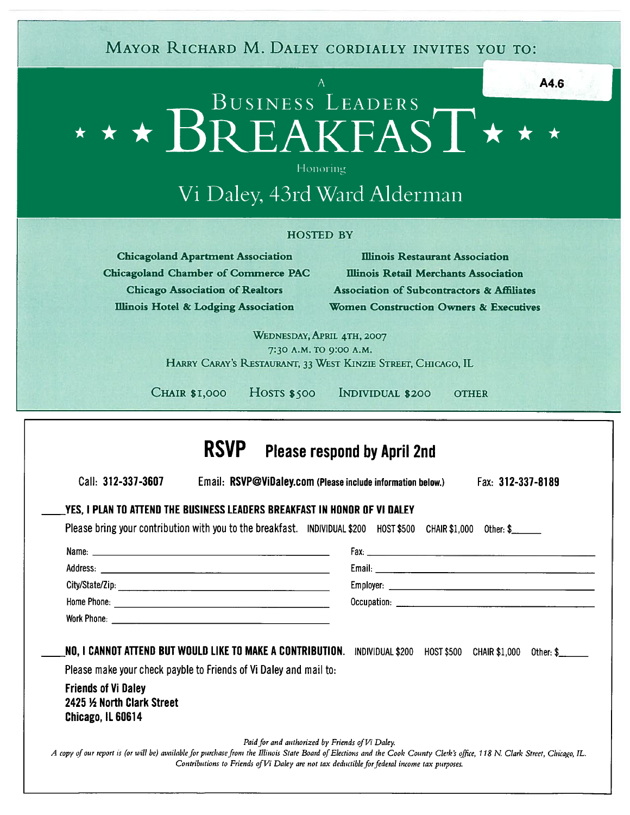### A and  $\overline{A4.6}$ BUSINESS LEADERS \*\* \*  $\star$  BREAKFAST $\star$   $\star$   $\star$

# Vi Daley, 43rd Ward Alderman

### HOSTED BY

|                    |                                                                                                                                                                                                                                                                                                            |                        | A4.6                                                                                                                                                                                                                                    |
|--------------------|------------------------------------------------------------------------------------------------------------------------------------------------------------------------------------------------------------------------------------------------------------------------------------------------------------|------------------------|-----------------------------------------------------------------------------------------------------------------------------------------------------------------------------------------------------------------------------------------|
|                    |                                                                                                                                                                                                                                                                                                            | Honoring               | * * * BUSINESS LEADERS T * *<br>Vi Daley, 43rd Ward Alderman                                                                                                                                                                            |
|                    |                                                                                                                                                                                                                                                                                                            | <b>HOSTED BY</b>       |                                                                                                                                                                                                                                         |
|                    | <b>Chicagoland Apartment Association</b>                                                                                                                                                                                                                                                                   |                        | <b>Illinois Restaurant Association</b>                                                                                                                                                                                                  |
|                    | <b>Chicagoland Chamber of Commerce PAC</b>                                                                                                                                                                                                                                                                 |                        | Illinois Retail Merchants Association                                                                                                                                                                                                   |
|                    | <b>Chicago Association of Realtors</b><br>Illinois Hotel & Lodging Association                                                                                                                                                                                                                             |                        | <b>Association of Subcontractors &amp; Affiliates</b><br><b>Women Construction Owners &amp; Executives</b>                                                                                                                              |
|                    |                                                                                                                                                                                                                                                                                                            |                        | WEDNESDAY, APRIL 4TH, 2007                                                                                                                                                                                                              |
|                    |                                                                                                                                                                                                                                                                                                            | 7:30 A.M. TO 9:00 A.M. | HARRY CARAY'S RESTAURANT, 33 WEST KINZIE STREET, CHICAGO, IL                                                                                                                                                                            |
|                    |                                                                                                                                                                                                                                                                                                            |                        |                                                                                                                                                                                                                                         |
|                    |                                                                                                                                                                                                                                                                                                            |                        |                                                                                                                                                                                                                                         |
|                    | <b>CHAIR \$1,000</b><br>$HOSTS$ \$500                                                                                                                                                                                                                                                                      |                        | INDIVIDUAL \$200<br><b>OTHER</b>                                                                                                                                                                                                        |
| Call: 312-337-3607 | YES, I PLAN TO ATTEND THE BUSINESS LEADERS BREAKFAST IN HONOR OF VI DALEY<br>Name: Name: Name: Name: Name: Name: Name: Name: Name: Name: Name: Name: Name: Name: Name: Name: Name: Name: Name: Name: Name: Name: Name: Name: Name: Name: Name: Name: Name: Name: Name: Name: Name: Name: Name: Name: Name: |                        | <b>Please respond by April 2nd</b><br>Email: RSVP@ViDaley.com (Please include information below.)<br>Fax: 312-337-8189<br>Please bring your contribution with you to the breakfast. INDIVIDUAL \$200 HOST \$500 CHAIR \$1,000 Other: \$ |
|                    |                                                                                                                                                                                                                                                                                                            |                        |                                                                                                                                                                                                                                         |
|                    |                                                                                                                                                                                                                                                                                                            |                        |                                                                                                                                                                                                                                         |
|                    | NO, I CANNOT ATTEND BUT WOULD LIKE TO MAKE A CONTRIBUTION.                                                                                                                                                                                                                                                 |                        | <b>CHAIR \$1,000</b><br>INDIVIDUAL \$200 HOST \$500<br>Other: \$                                                                                                                                                                        |
|                    | Please make your check payble to Friends of Vi Daley and mail to:                                                                                                                                                                                                                                          |                        |                                                                                                                                                                                                                                         |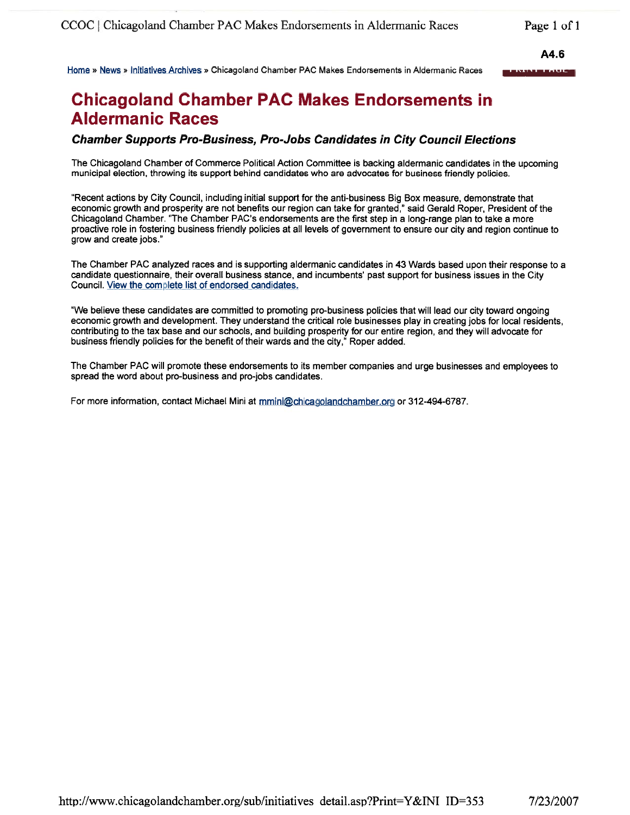A4.6

iirn tiew Initiatives Archives Chicagoland Chamber PAC Makes Endorsements in Aldermanic Races — —

# Chicagoland Chamber PAC Makes Endorsements in Aldermanic Races

### Chamber Supports Pro-Business, Pro-Jobs Candidates in City Council Elections

The Chicagoland Chamber of Commerce Political Action Committee is backing aldermanic candidates in the upcoming municipal election, throwing its suppor<sup>t</sup> behind candidates who are advocates for business friendly policies.

"Recent actions by City Council, including initial suppor<sup>t</sup> for the anti-business Big Box measure, demonstrate that economic growth and prosperity are not benefits our region can take for granted," said Gerald Roper, President of the Chicagoland Chamber. "The Chamber PAC's endorsements are the first step in <sup>a</sup> long-range plan to take <sup>a</sup> more proactive role in fostering business friendly policies at all levels of governmen<sup>t</sup> to ensure our city and region continue to grow and create jobs."

The Chamber PAC analyzed races and is supporting aldermanic candidates in 43 Wards based upon their response to <sup>a</sup> candidate questionnaire, their overall business stance, and incumbents' pas<sup>t</sup> suppor<sup>t</sup> for business issues in the City Council. View the complete list of endorsed candidates.

"We believe these candidates are committed to promoting pro-business policies that will lead our city toward ongoing economic growth and development. They understand the critical role businesses <sup>p</sup>lay in creating jobs for local residents, contributing to the tax base and our schools, and building prosperity for our entire region, and they will advocate for business friendly policies for the benefit of their wards and the city," Roper added.

The Chamber PAC will promote these endorsements to its member companies and urge businesses and employees to spread the word about pro-business and pro-jobs candidates.

For more information, contact Michael Mini at mmini@chicagolandchamber.org or 312-494-6787.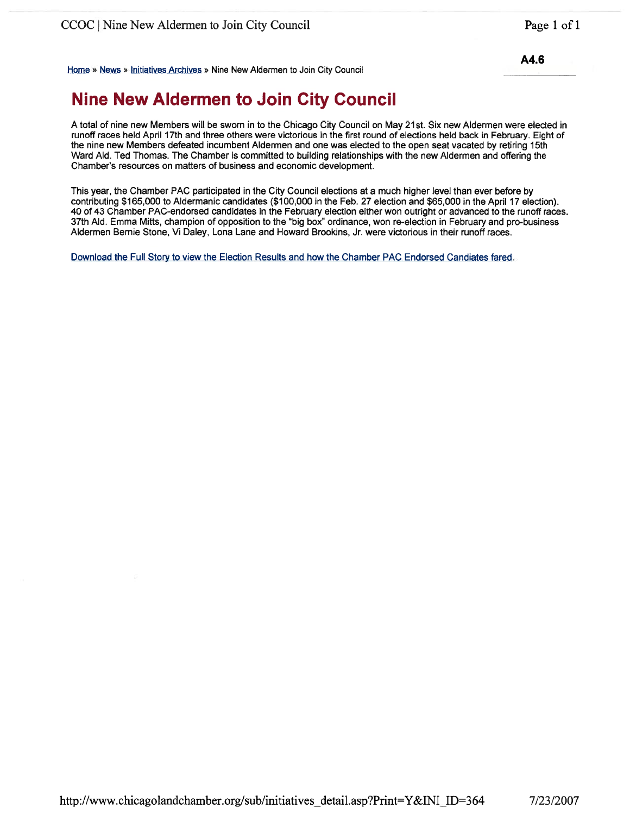Home » News » Initiatives Archives » Nine New Aldermen to Join City Council

## Nine New Aldermen to Join City Council

A total of nine new Members will be sworn in to the Chicago City Council on May 21st. Six new Aldermen were elected in runoff races held April 17th and three others were victorious in the first round of elections held back in February. Eight of the nine new Members defeated incumbent Aldermen and one was elected to the open seat vacated by retiring 15th Ward AId. Ted Thomas. The Chamber is committed to building relationships with the new Aldermen and offering the Chamber's resources on matters of business and economic development.

This year, the Chamber PAC participated in the City Council elections at <sup>a</sup> much higher level than ever before by contributing \$165,000 to Aldermanic candidates (\$100,000 in the Feb. 27 election and \$65,000 in the April 17 election). 40 of 43 Chamber PAC-endorsed candidates in the February election either won outright or advanced to the runoff races. 37th AId. Emma Mitts, champion of opposition to the "big box" ordinance, won re-election in February and pro-business Aldermen Bernie Stone, Vi Daley, Lona Lane and Howard Brookins, Jr. were victorious in their runoff races.

Download the Full Story to view the Election Results and how the Chamber PAC Endorsed Candiates fared.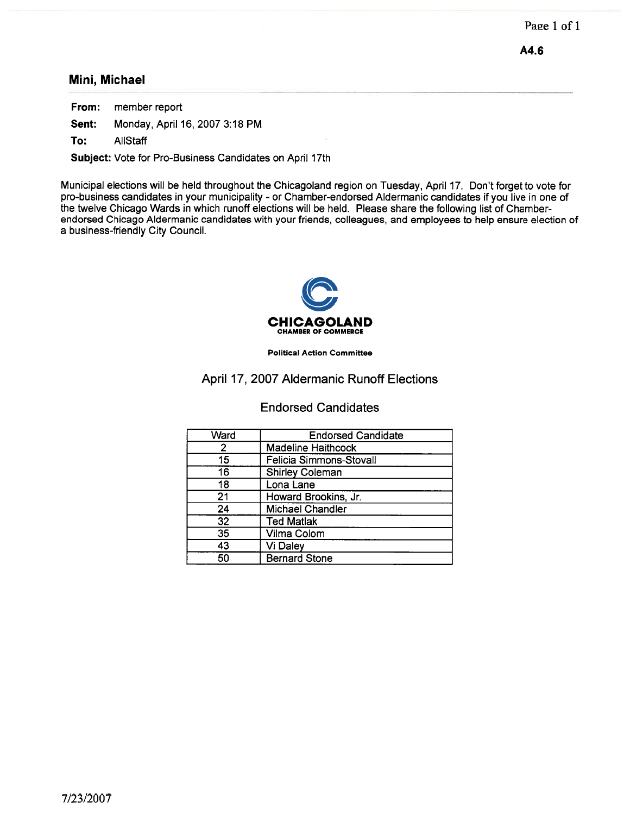### Mini, Michael

From: member repor<sup>t</sup> Sent: Monday, April 16, 2007 3:18 PM

To: AliStaff

Subject: Vote for Pro-Business Candidates on April 17th

Municipal elections will be held throughout the Chicagoland region on Tuesday, April 17. Don't forget to vote for pro-business candidates in your municipality - or Chamber-endorsed Aldermanic candidates if you live in one of the twelve Chicago Wards in which runoff elections will be held. Please share the following list of Chamberendorsed Chicago Aldermanic candidates with your friends, colleagues, and employees to help ensure election of <sup>a</sup> business-friendly City Council.



Political Action Committee

### April 17, 2007 Aldermanic Runoff Elections

### Endorsed Candidates

| Ward | <b>Endorsed Candidate</b> |  |  |
|------|---------------------------|--|--|
| 2    | <b>Madeline Haithcock</b> |  |  |
| 15   | Felicia Simmons-Stovall   |  |  |
| 16   | <b>Shirley Coleman</b>    |  |  |
| 18   | Lona Lane                 |  |  |
| 21   | Howard Brookins, Jr.      |  |  |
| 24   | <b>Michael Chandler</b>   |  |  |
| 32   | <b>Ted Matlak</b>         |  |  |
| 35   | Vilma Colom               |  |  |
| 43   | Vi Daley                  |  |  |
| 50   | <b>Bernard Stone</b>      |  |  |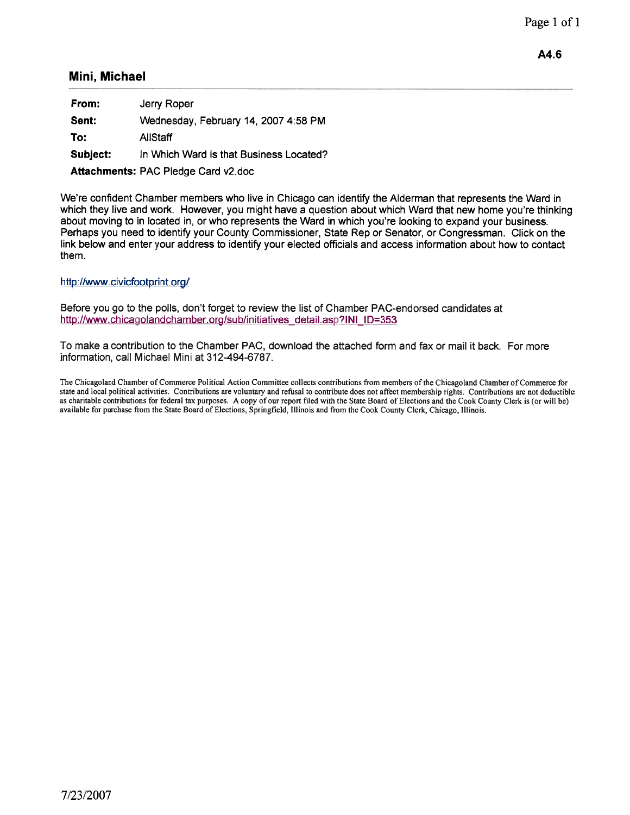### Mini, Michael

From: Jerry Roper Sent: Wednesday, February 14, 2007 4:58 PM To: AliStaff Subject: In Which Ward is that Business Located? Attachments: PAC Pledge Card v2.doc

We're confident Chamber members who live in Chicago can identify the Alderman that represents the Ward in which they live and work. However, you might have <sup>a</sup> question about which Ward that new home you're thinking about moving to in located in, or who represents the Ward in which you're looking to expand your business. Perhaps you need to identify your County Commissioner, State Rep or Senator, or Congressman. Click on the link below and enter your address to identify your elected officials and access information about how to contact them.

### http://www.civicfootprint.org/

Before you go to the polls, don't forget to review the list of Chamber PAC-endorsed candidates at http://www.chicagolandchamber.org/sub/initiatives\_detail.asp?INI\_ID=353

To make <sup>a</sup> contribution to the Chamber PAC, download the attached form and fax or mail it back. For more information, call Michael Mini at 312-494-6787.

The Chicagoland Chamber of Commerce Political Action Committee collects contributions from members of the Chicagoland Chamber of Commerce for state and local political activities. Contributions are voluntary and refusal to contribute does not affect membership rights. Contributions are not deductible as charitable contributions for federal tax purposes. A copy of our repor<sup>t</sup> filed with the State Board of Elections and the Cook County Clerk is (or will be) available for purchase from the State Board of Elections, Springfield, Illinois and from the Cook County Clerk, Chicago, Illinois.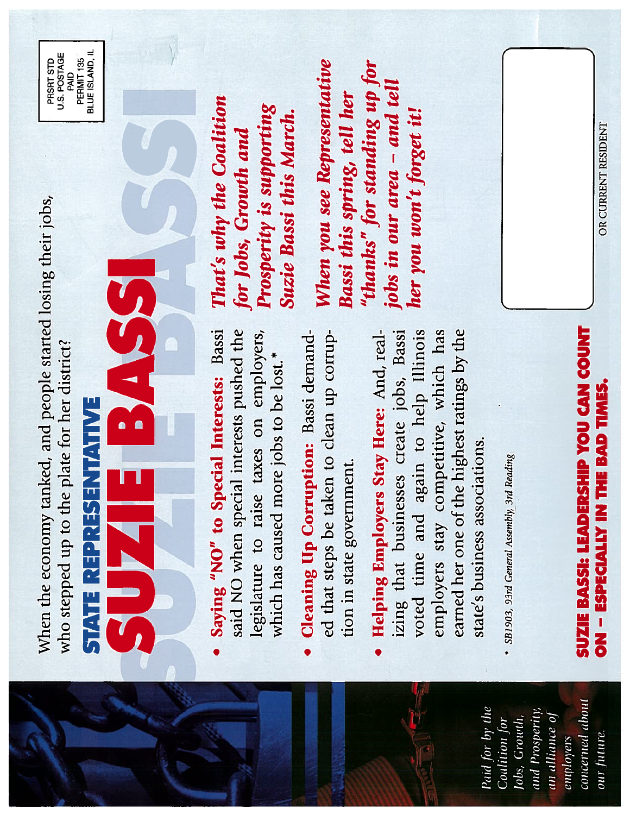When the economy tanked, and people started losing their jobs, When the economy tanked, and people started losing their jobs, who stepped up to the plate for her district? who stepped up to the plate for her district?

BLUE ISLAND, IL BLUE ISLAND, IL U.S. POSTAGE<br>PAID U.S. POSTAGE PRSRT STD PERMIT<sub>135</sub> PERMIT 135 PRSRT STD

> SUZIE BASS STATE REPRESENTATIVE STATE REPRESENTATIVE  $\overline{u}$

- Saying "NO" to Special Interests: Bassi said NO when special interests pushed the • Saying "NO" to Special Interests: Bassi said NO when special interests pushed the legislature to raise taxes on employers, legislature to raise taxes on employers, which has caused more jobs to be lost.\* which has caused more jobs to be lost.\*
- ed that steps be taken to clean up corrup-Cleaning Up Corruption: Bassi demand-• Cleaning Up Corruption: Bassi demand ed that steps be taken to clean up corruption in state government. tion in state government.
- Helping Employers Stay Here: And, realearned her one of the highest ratings by the izing that businesses create jobs, Bassi voted time and again to help Illinois employers stay competitive, which has • Helping Employers Stay Here: And, real izing that businesses create jobs, Bassi voted time and again to help Illinois employers stay competitive, which has earned her one of the highest ratings by the state's business assciations. state's business associations.
- SB1903, 93rd General Assembly, 3rd Reading \* SB1903, 93rd General Assembly, 3rd Reading

That's why the Coalition That's why the Coalition Prosperity is supporting Prosperity is supporting Suzie Bassi this March. Suzie Bassi this March. for Jobs, Growth and for Jobs, Growth and

When you see Representative "thanks" for standing up for When you see Representative "thanks" for standing up for jobs in our area – and tell jobs in our area — and tell Bassi this spring, tell her Bassi this spring, tell her her you won't forget it! her you won't forget it!

> concerned about concerned about Paid for by the and Prosperity, Paid for by the and Prosperity, an alliance of au alliance of Coalition for Jobs, Growth, Jobs, Growth, our future. employers

OR CURRENT RESIDENT ON -ESPECIALLY IN THE BAD TIMES. OR CURRENT RESIDENT

SUZIE BASSI: LEADERSHIP YOU CAN COUNT

**ON - ESPECIALLY IN THE BAD TIMES.** 

SUZIE BASSI: LEADERSHIP YOU CAN COUNT